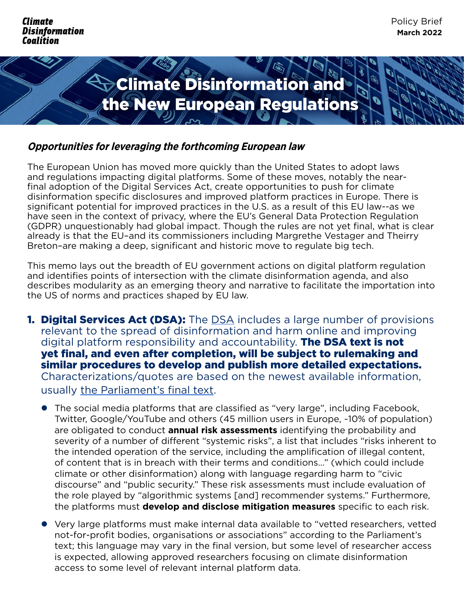**Climate Disinformation** Coalition



#### **Opportunities for leveraging the forthcoming European law**

The European Union has moved more quickly than the United States to adopt laws and regulations impacting digital platforms. Some of these moves, notably the nearfinal adoption of the Digital Services Act, create opportunities to push for climate disinformation specific disclosures and improved platform practices in Europe. There is significant potential for improved practices in the U.S. as a result of this EU law--as we have seen in the context of privacy, where the EU's General Data Protection Regulation (GDPR) unquestionably had global impact. Though the rules are not yet final, what is clear already is that the EU–and its commissioners including Margrethe Vestager and Theirry Breton–are making a deep, significant and historic move to regulate big tech.

This memo lays out the breadth of EU government actions on digital platform regulation and identifies points of intersection with the climate disinformation agenda, and also describes modularity as an emerging theory and narrative to facilitate the importation into the US of norms and practices shaped by EU law.

- **1. Digital Services Act ([DSA](https://www.consilium.europa.eu/en/press/press-releases/2022/04/23/digital-services-act-council-and-european-parliament-reach-deal-on-a-safer-online-space/)):** The **DSA** includes a large number of provisions relevant to the spread of disinformation and harm online and improving digital platform responsibility and accountability. **The DSA text is not** yet final, and even after completion, will be subject to rulemaking and similar procedures to develop and publish more detailed expectations. Characterizations/quotes are based on the newest available information, usually [the Parliament's final text](https://www.europarl.europa.eu/doceo/document/TA-9-2022-0014_EN.html).
	- **•** The social media platforms that are classified as "very large", including Facebook, Twitter, Google/YouTube and others (45 million users in Europe, ~10% of population) are obligated to conduct **annual risk assessments** identifying the probability and severity of a number of different "systemic risks", a list that includes "risks inherent to the intended operation of the service, including the amplification of illegal content, of content that is in breach with their terms and conditions…" (which could include climate or other disinformation) along with language regarding harm to "civic discourse" and "public security." These risk assessments must include evaluation of the role played by "algorithmic systems [and] recommender systems." Furthermore, the platforms must **develop and disclose mitigation measures** specific to each risk.
	- **•** Very large platforms must make internal data available to "vetted researchers, vetted not-for-profit bodies, organisations or associations" according to the Parliament's text; this language may vary in the final version, but some level of researcher access is expected, allowing approved researchers focusing on climate disinformation access to some level of relevant internal platform data.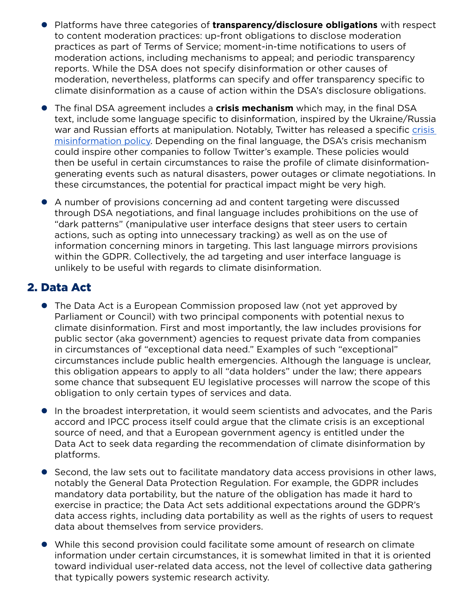- Platforms have three categories of **transparency/disclosure obligations** with respect to content moderation practices: up-front obligations to disclose moderation practices as part of Terms of Service; moment-in-time notifications to users of moderation actions, including mechanisms to appeal; and periodic transparency reports. While the DSA does not specify disinformation or other causes of moderation, nevertheless, platforms can specify and offer transparency specific to climate disinformation as a cause of action within the DSA's disclosure obligations.
- **The final DSA agreement includes a crisis mechanism** which may, in the final DSA text, include some language specific to disinformation, inspired by the Ukraine/Russia war and Russian efforts at manipulation. Notably, Twitter has released a specific crisis [misinformation policy](https://blog.twitter.com/en_us/topics/company/2022/introducing-our-crisis-misinformation-policy). Depending on the final language, the DSA's crisis mechanism could inspire other companies to follow Twitter's example. These policies would then be useful in certain circumstances to raise the profile of climate disinformationgenerating events such as natural disasters, power outages or climate negotiations. In these circumstances, the potential for practical impact might be very high.
- A number of provisions concerning ad and content targeting were discussed through DSA negotiations, and final language includes prohibitions on the use of "dark patterns" (manipulative user interface designs that steer users to certain actions, such as opting into unnecessary tracking) as well as on the use of information concerning minors in targeting. This last language mirrors provisions within the GDPR. Collectively, the ad targeting and user interface language is unlikely to be useful with regards to climate disinformation.

# 2. Data Act

- The Data Act is a European Commission proposed law (not yet approved by Parliament or Council) with two principal components with potential nexus to climate disinformation. First and most importantly, the law includes provisions for public sector (aka government) agencies to request private data from companies in circumstances of "exceptional data need." Examples of such "exceptional" circumstances include public health emergencies. Although the language is unclear, this obligation appears to apply to all "data holders" under the law; there appears some chance that subsequent EU legislative processes will narrow the scope of this obligation to only certain types of services and data.
- In the broadest interpretation, it would seem scientists and advocates, and the Paris accord and IPCC process itself could argue that the climate crisis is an exceptional source of need, and that a European government agency is entitled under the Data Act to seek data regarding the recommendation of climate disinformation by platforms.
- Second, the law sets out to facilitate mandatory data access provisions in other laws, notably the General Data Protection Regulation. For example, the GDPR includes mandatory data portability, but the nature of the obligation has made it hard to exercise in practice; the Data Act sets additional expectations around the GDPR's data access rights, including data portability as well as the rights of users to request data about themselves from service providers.
- While this second provision could facilitate some amount of research on climate information under certain circumstances, it is somewhat limited in that it is oriented toward individual user-related data access, not the level of collective data gathering that typically powers systemic research activity.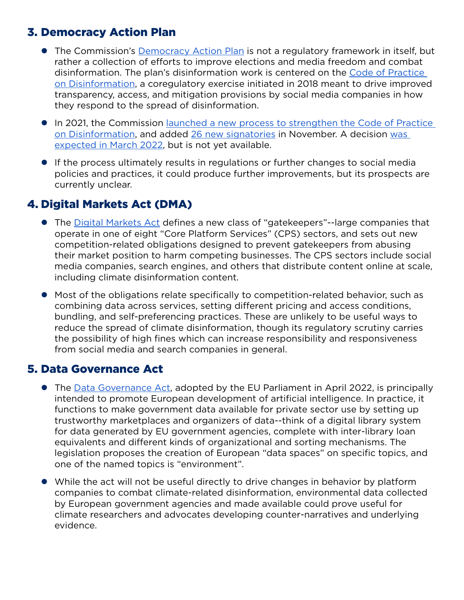# 3. Democracy Action Plan

- The Commission's [Democracy Action Plan](https://ec.europa.eu/info/strategy/priorities-2019-2024/new-push-european-democracy/european-democracy-action-plan_en) is not a regulatory framework in itself, but rather a collection of efforts to improve elections and media freedom and combat disinformation. The plan's disinformation work is centered on the [Code of Practice](https://ec.europa.eu/info/strategy/priorities-2019-2024/new-push-european-democracy/european-democracy-action-plan/strengthening-eu-code-practice-disinformation_en)  [on Disinformation](https://ec.europa.eu/info/strategy/priorities-2019-2024/new-push-european-democracy/european-democracy-action-plan/strengthening-eu-code-practice-disinformation_en), a coregulatory exercise initiated in 2018 meant to drive improved transparency, access, and mitigation provisions by social media companies in how they respond to the spread of disinformation.
- In 2021, the Commission launched a new process to strengthen the Code of Practice [on Disinformation](https://digital-strategy.ec.europa.eu/en/library/guidance-strengthening-code-practice-disinformation), and added [26 new signatories](https://digital-strategy.ec.europa.eu/en/news/disinformation-commission-welcomes-new-prospective-signatories-code-practice-and-recommendations) in November. A decision [was](https://digital-strategy.ec.europa.eu/en/news/revision-code-practice-strengthened-code-expected-march-2022)  [expected in March 2022,](https://digital-strategy.ec.europa.eu/en/news/revision-code-practice-strengthened-code-expected-march-2022) but is not yet available.
- **•** If the process ultimately results in regulations or further changes to social media policies and practices, it could produce further improvements, but its prospects are currently unclear.

# 4. Digital Markets Act (DMA)

- **•** The [Digital Markets Act](https://www.consilium.europa.eu/media/56086/st08722-xx22.pdf) defines a new class of "gatekeepers"--large companies that operate in one of eight "Core Platform Services" (CPS) sectors, and sets out new competition-related obligations designed to prevent gatekeepers from abusing their market position to harm competing businesses. The CPS sectors include social media companies, search engines, and others that distribute content online at scale, including climate disinformation content.
- Most of the obligations relate specifically to competition-related behavior, such as combining data across services, setting different pricing and access conditions, bundling, and self-preferencing practices. These are unlikely to be useful ways to reduce the spread of climate disinformation, though its regulatory scrutiny carries the possibility of high fines which can increase responsibility and responsiveness from social media and search companies in general.

### 5. Data Governance Act

- The [Data Governance Act,](https://www.europarl.europa.eu/news/en/headlines/priorities/artificial-intelligence-in-the-eu/20220331STO26411/data-governance-why-is-the-eu-data-sharing-law-important) adopted by the EU Parliament in April 2022, is principally intended to promote European development of artificial intelligence. In practice, it functions to make government data available for private sector use by setting up trustworthy marketplaces and organizers of data--think of a digital library system for data generated by EU government agencies, complete with inter-library loan equivalents and different kinds of organizational and sorting mechanisms. The legislation proposes the creation of European "data spaces" on specific topics, and one of the named topics is "environment".
- While the act will not be useful directly to drive changes in behavior by platform companies to combat climate-related disinformation, environmental data collected by European government agencies and made available could prove useful for climate researchers and advocates developing counter-narratives and underlying evidence.